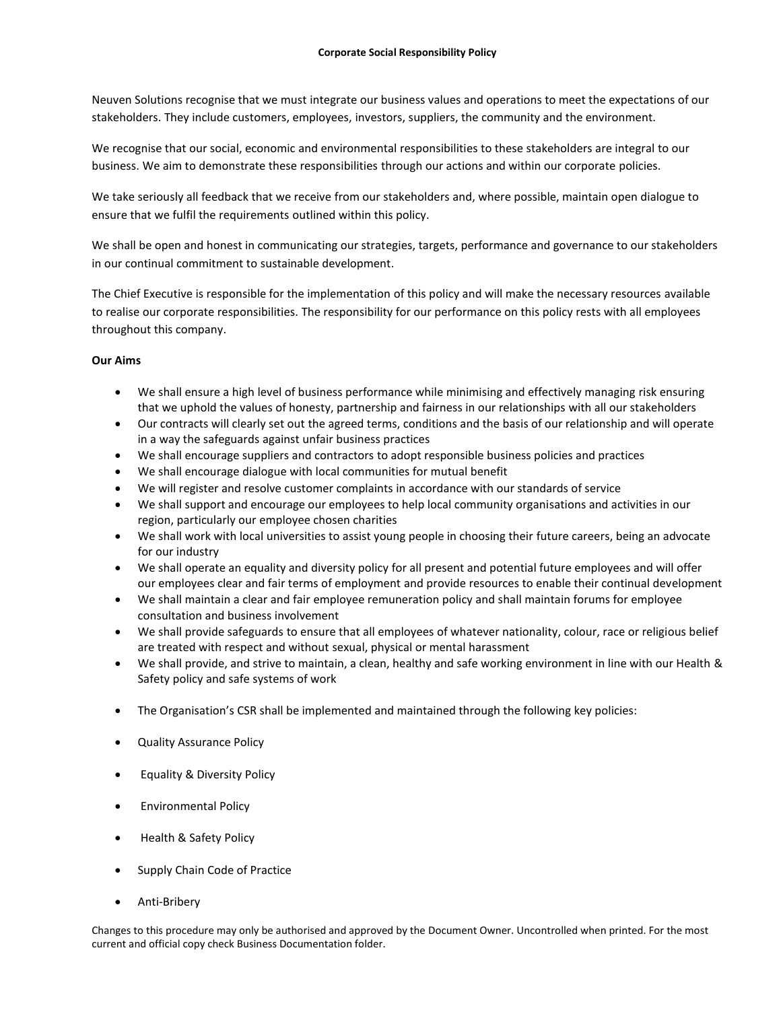Neuven Solutions recognise that we must integrate our business values and operations to meet the expectations of our stakeholders. They include customers, employees, investors, suppliers, the community and the environment.

We recognise that our social, economic and environmental responsibilities to these stakeholders are integral to our business. We aim to demonstrate these responsibilities through our actions and within our corporate policies.

We take seriously all feedback that we receive from our stakeholders and, where possible, maintain open dialogue to ensure that we fulfil the requirements outlined within this policy.

We shall be open and honest in communicating our strategies, targets, performance and governance to our stakeholders in our continual commitment to sustainable development.

The Chief Executive is responsible for the implementation of this policy and will make the necessary resources available to realise our corporate responsibilities. The responsibility for our performance on this policy rests with all employees throughout this company.

## **Our Aims**

- We shall ensure a high level of business performance while minimising and effectively managing risk ensuring that we uphold the values of honesty, partnership and fairness in our relationships with all our stakeholders
- Our contracts will clearly set out the agreed terms, conditions and the basis of our relationship and will operate in a way the safeguards against unfair business practices
- We shall encourage suppliers and contractors to adopt responsible business policies and practices
- We shall encourage dialogue with local communities for mutual benefit
- We will register and resolve customer complaints in accordance with our standards of service
- We shall support and encourage our employees to help local community organisations and activities in our region, particularly our employee chosen charities
- We shall work with local universities to assist young people in choosing their future careers, being an advocate for our industry
- We shall operate an equality and diversity policy for all present and potential future employees and will offer our employees clear and fair terms of employment and provide resources to enable their continual development
- We shall maintain a clear and fair employee remuneration policy and shall maintain forums for employee consultation and business involvement
- We shall provide safeguards to ensure that all employees of whatever nationality, colour, race or religious belief are treated with respect and without sexual, physical or mental harassment
- We shall provide, and strive to maintain, a clean, healthy and safe working environment in line with our Health & Safety policy and safe systems of work
- The Organisation's CSR shall be implemented and maintained through the following key policies:
- Quality Assurance Policy
- Equality & Diversity Policy
- Environmental Policy
- Health & Safety Policy
- Supply Chain Code of Practice
- Anti-Bribery

Changes to this procedure may only be authorised and approved by the Document Owner. Uncontrolled when printed. For the most current and official copy check Business Documentation folder.